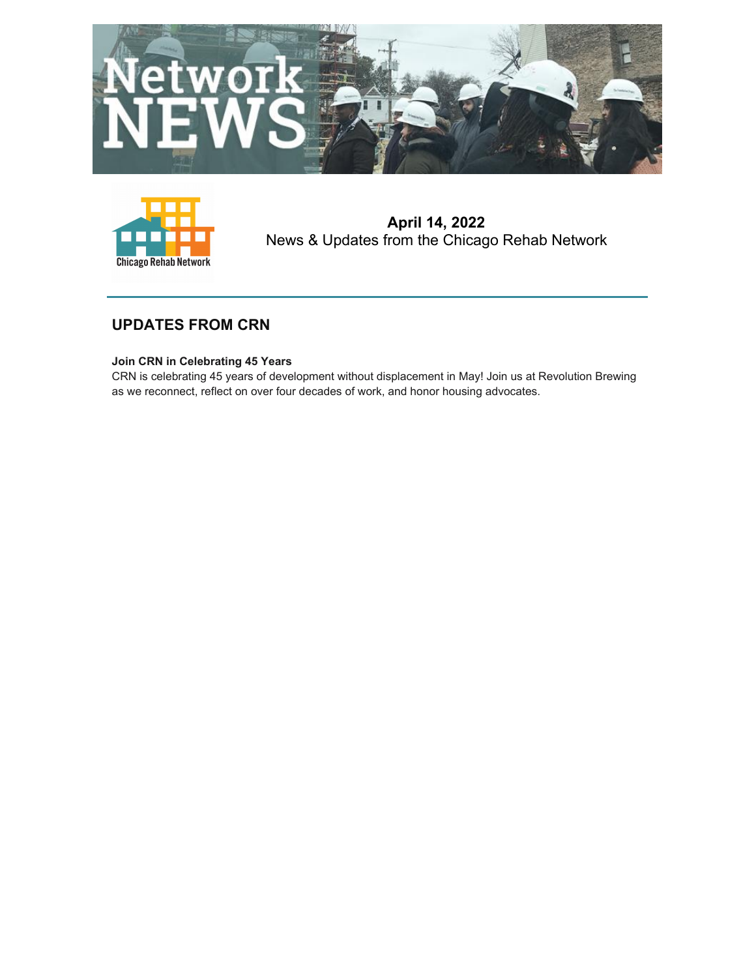



**April 14, 2022** News & Updates from the Chicago Rehab Network

# **UPDATES FROM CRN**

# **Join CRN in Celebrating 45 Years**

CRN is celebrating 45 years of development without displacement in May! Join us at Revolution Brewing as we reconnect, reflect on over four decades of work, and honor housing advocates.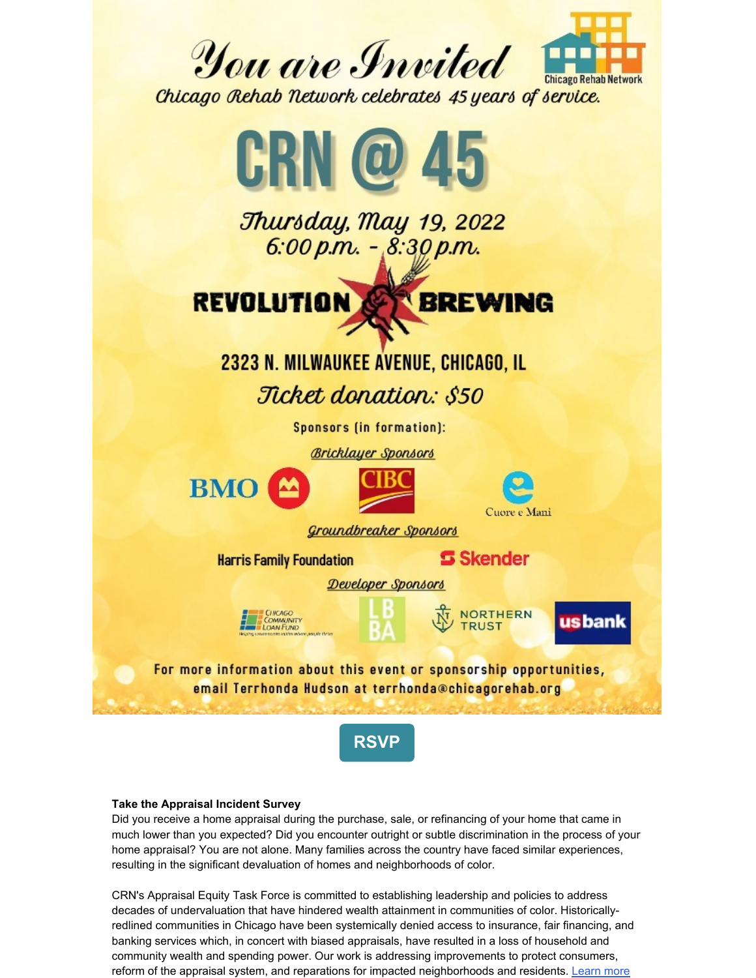

Thursday, May 19, 2022 6:00 p.m.  $-$  8:30 p.m. **REVOLUTION BREWING** 2323 N. MILWAUKEE AVENUE, CHICAGO, IL Ticket donation: \$50 **Sponsors (in formation): Bricklayer Sponsors BMO** Cuore e Mani Groundbreaker Sponsors **S** Skender **Harris Family Foundation** Developer Sponsors **NORTHERN** us bank **COMMUNITY TRUST LOAN FLND** For more information about this event or sponsorship opportunities, email Terrhonda Hudson at terrhonda@chicagorehab.org



# **Take the Appraisal Incident Survey**

Did you receive a home appraisal during the purchase, sale, or refinancing of your home that came in much lower than you expected? Did you encounter outright or subtle discrimination in the process of your home appraisal? You are not alone. Many families across the country have faced similar experiences, resulting in the significant devaluation of homes and neighborhoods of color.

CRN's Appraisal Equity Task Force is committed to establishing leadership and policies to address decades of undervaluation that have hindered wealth attainment in communities of color. Historicallyredlined communities in Chicago have been systemically denied access to insurance, fair financing, and banking services which, in concert with biased appraisals, have resulted in a loss of household and community wealth and spending power. Our work is addressing improvements to protect consumers, reform of the appraisal system, and reparations for impacted neighborhoods and residents. Learn more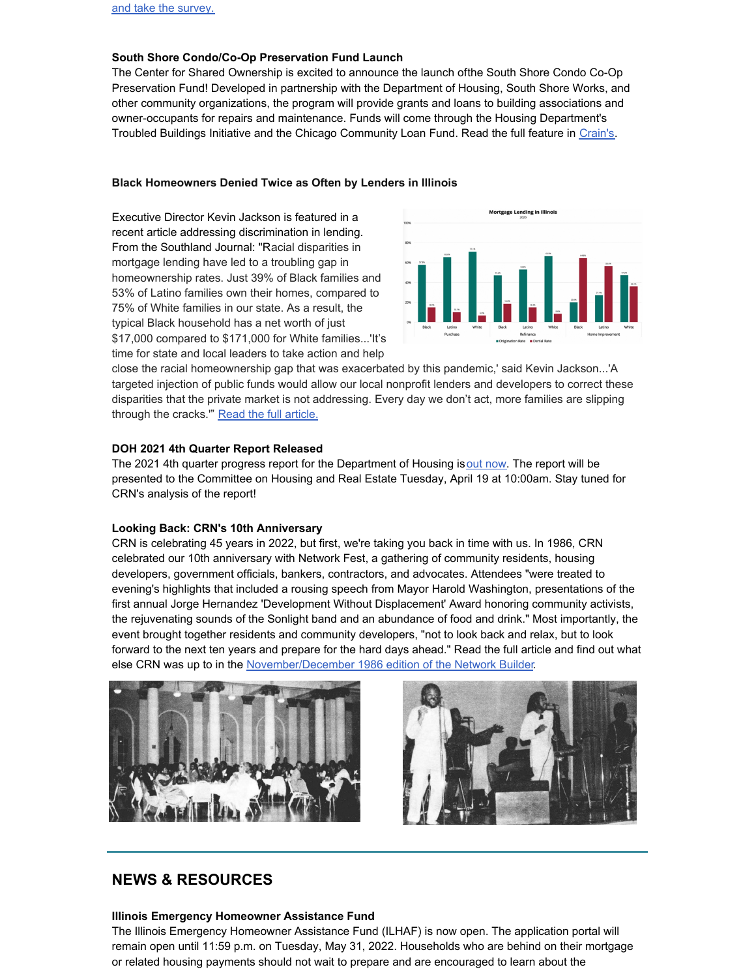## **South Shore Condo/Co-Op Preservation Fund Launch**

The Center for Shared Ownership is excited to announce the launch ofthe South Shore Condo Co-Op Preservation Fund! Developed in partnership with the Department of Housing, South Shore Works, and other community organizations, the program will provide grants and loans to building associations and owner-occupants for repairs and maintenance. Funds will come through the Housing Department's Troubled Buildings Initiative and the Chicago Community Loan Fund. Read the full feature in [Crain's](https://www.chicagobusiness.com/equity/vintage-south-side-condos-eligible-chicagos-troubled-buildings-funds).

## **Black Homeowners Denied Twice as Often by Lenders in Illinois**

Executive Director Kevin Jackson is featured in a recent article addressing discrimination in lending. From the Southland Journal: "Racial disparities in mortgage lending have led to a troubling gap in homeownership rates. Just 39% of Black families and 53% of Latino families own their homes, compared to 75% of White families in our state. As a result, the typical Black household has a net worth of just \$17,000 compared to \$171,000 for White families...'It's time for state and local leaders to take action and help



close the racial homeownership gap that was exacerbated by this pandemic,' said Kevin Jackson...'A targeted injection of public funds would allow our local nonprofit lenders and developers to correct these disparities that the private market is not addressing. Every day we don't act, more families are slipping through the cracks." Read the full [article.](https://thesouthlandjournal.com/black-homeowners-denied-twice-as-often-by-lenders-in-illinois-even-amidst-historically-low-interest-rates/)

### **DOH 2021 4th Quarter Report Released**

The 2021 4th quarter progress report for the Department of Housing isout [now](https://www.chicago.gov/content/dam/city/depts/doh/reports/Full_Report_Q4_2021.pdf). The report will be presented to the Committee on Housing and Real Estate Tuesday, April 19 at 10:00am. Stay tuned for CRN's analysis of the report!

#### **Looking Back: CRN's 10th Anniversary**

CRN is celebrating 45 years in 2022, but first, we're taking you back in time with us. In 1986, CRN celebrated our 10th anniversary with Network Fest, a gathering of community residents, housing developers, government officials, bankers, contractors, and advocates. Attendees "were treated to evening's highlights that included a rousing speech from Mayor Harold Washington, presentations of the first annual Jorge Hernandez 'Development Without Displacement' Award honoring community activists, the rejuvenating sounds of the Sonlight band and an abundance of food and drink." Most importantly, the event brought together residents and community developers, "not to look back and relax, but to look forward to the next ten years and prepare for the hard days ahead." Read the full article and find out what else CRN was up to in the [November/December](https://www.chicagorehab.org/content/cms/documents/newsletter_nov-dec_1986.pdf) 1986 edition of the Network Builder.





# **NEWS & RESOURCES**

#### **Illinois Emergency Homeowner Assistance Fund**

The Illinois Emergency Homeowner Assistance Fund (ILHAF) is now open. The application portal will remain open until 11:59 p.m. on Tuesday, May 31, 2022. Households who are behind on their mortgage or related housing payments should not wait to prepare and are encouraged to learn about the